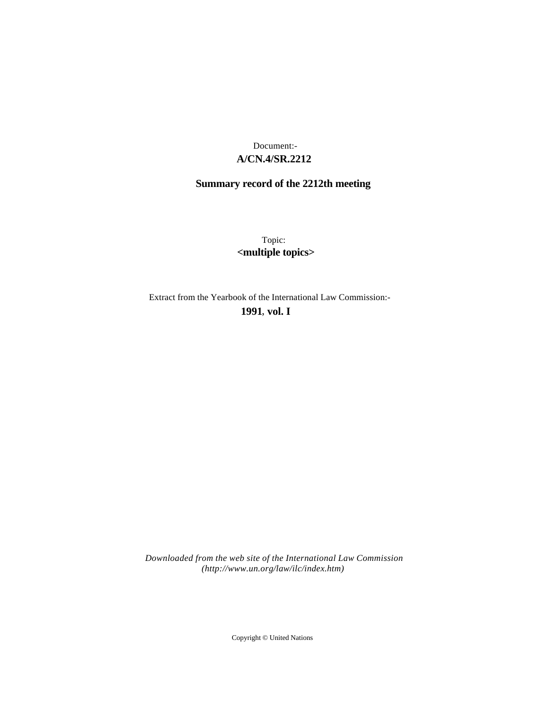# **A/CN.4/SR.2212** Document:-

# **Summary record of the 2212th meeting**

Topic: **<multiple topics>**

Extract from the Yearbook of the International Law Commission:-

**1991** , **vol. I**

*Downloaded from the web site of the International Law Commission (http://www.un.org/law/ilc/index.htm)*

Copyright © United Nations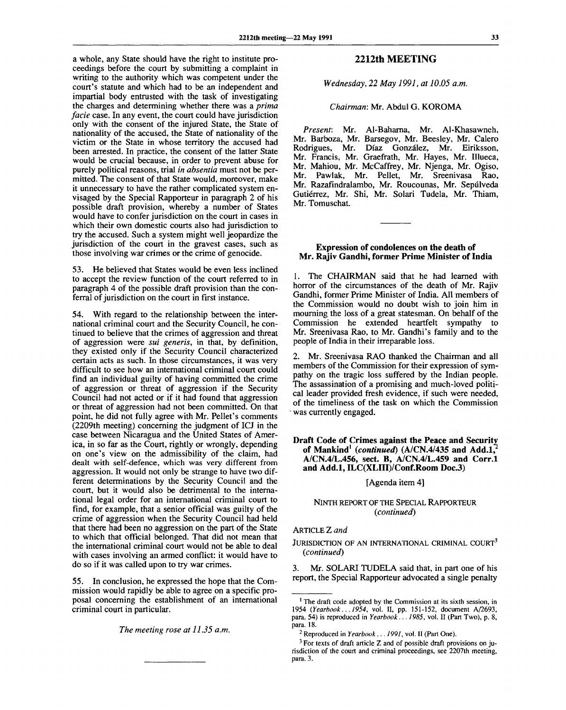a whole, any State should have the right to institute proceedings before the court by submitting a complaint in writing to the authority which was competent under the court's statute and which had to be an independent and impartial body entrusted with the task of investigating the charges and determining whether there was a *prima facie* case. In any event, the court could have jurisdiction only with the consent of the injured State, the State of nationality of the accused, the State of nationality of the victim or the State in whose territory the accused had been arrested. In practice, the consent of the latter State would be crucial because, in order to prevent abuse for purely political reasons, trial *in absentia* must not be permitted. The consent of that State would, moreover, make it unnecessary to have the rather complicated system envisaged by the Special Rapporteur in paragraph 2 of his possible draft provision, whereby a number of States would have to confer jurisdiction on the court in cases in which their own domestic courts also had jurisdiction to try the accused. Such a system might well jeopardize the jurisdiction of the court in the gravest cases, such as those involving war crimes or the crime of genocide.

53. He believed that States would be even less inclined to accept the review function of the court referred to in paragraph 4 of the possible draft provision than the conferral of jurisdiction on the court in first instance.

54. With regard to the relationship between the international criminal court and the Security Council, he continued to believe that the crimes of aggression and threat of aggression were *sui generis,* in that, by definition, they existed only if the Security Council characterized certain acts as such. In those circumstances, it was very difficult to see how an international criminal court could find an individual guilty of having committed the crime of aggression or threat of aggression if the Security Council had not acted or if it had found that aggression or threat of aggression had not been committed. On that point, he did not fully agree with Mr. Pellet's comments (2209th meeting) concerning the judgment of ICJ in the case between Nicaragua and the United States of America, in so far as the Court, rightly or wrongly, depending on one's view on the admissibility of the claim, had dealt with self-defence, which was very different from aggression. It would not only be strange to have two different determinations by the Security Council and the court, but it would also be detrimental to the international legal order for an international criminal court to find, for example, that a senior official was guilty of the crime of aggression when the Security Council had held that there had been no aggression on the part of the State to which that official belonged. That did not mean that the international criminal court would not be able to deal with cases involving an armed conflict: it would have to do so if it was called upon to try war crimes.

55. In conclusion, he expressed the hope that the Commission would rapidly be able to agree on a specific proposal concerning the establishment of an international criminal court in particular.

*The meeting rose at 11.35 a.m.*

## **2212th MEETING**

*Wednesday, 22 May 1991, at 10.05 a.m.*

#### *Chairman:* Mr. Abdul G. KOROMA

*Present:* Mr. Al-Baharna, Mr. Al-Khasawneh, Mr. Barboza, Mr. Barsegov, Mr. Beesley, Mr. Calero Rodrigues, Mr. Diaz Gonzalez, Mr. Eiriksson, Mr. Francis, Mr. Graefrath, Mr. Hayes, Mr. Illueca, Mr. Mahiou, Mr. McCaffrey, Mr. Njenga, Mr. Ogiso, Mr. Pawlak, Mr. Pellet, Mr. Sreenivasa Rao, Mr. Razafindralambo, Mr. Roucounas, Mr. Sepulveda Gutierrez, Mr. Shi, Mr. Solari Tudela, Mr. Thiam, Mr. Tomuschat.

#### **Expression of condolences on the death of Mr. Rajiv Gandhi, former Prime Minister of India**

1. The CHAIRMAN said that he had learned with horror of the circumstances of the death of Mr. Rajiv Gandhi, former Prime Minister of India. All members of the Commission would no doubt wish to join him in mourning the loss of a great statesman. On behalf of the Commission he extended heartfelt sympathy to Mr. Sreenivasa Rao, to Mr. Gandhi's family and to the people of India in their irreparable loss.

2. Mr. Sreenivasa RAO thanked the Chairman and all members of the Commission for their expression of sympathy on the tragic loss suffered by the Indian people. The assassination of a promising and much-loved political leader provided fresh evidence, if such were needed, of the timeliness of the task on which the Commission was currently engaged.

## **Draft Code of Crimes against the Peace and Security of Mankind<sup>1</sup>**  *(continued)* **(A/CN.4/435 and Add.l,<sup>2</sup> A/CN.4/L.456, sect. B, A/CN.4/L.459 and Corr.l and Add.l, ILC(XLIII)/Conf.Room Doc.3)**

[Agenda item 4]

## NINTH REPORT OF THE SPECIAL RAPPORTEUR *(continued)*

## ARTICLE Z *and*

JURISDICTION OF AN INTERNATIONAL CRIMINAL COURT<sup>3</sup> *(continued)*

3. Mr. SOLARI TUDELA said that, in part one of his report, the Special Rapporteur advocated a single penalty

<sup>&</sup>lt;sup>1</sup> The draft code adopted by the Commission at its sixth session, in 1954 *(Yearbook... 1954,* vol. II, pp. 151-152, document A/2693, para. 54) is reproduced in *Yearbook... 1985,* vol. II (Part Two), p. 8, para. 18.

<sup>2</sup> Reproduced in *Yearbook ... 1991,* vol. II (Part One).

 $3$  For texts of draft article Z and of possible draft provisions on jurisdiction of the court and criminal proceedings, see 2207th meeting, para. 3.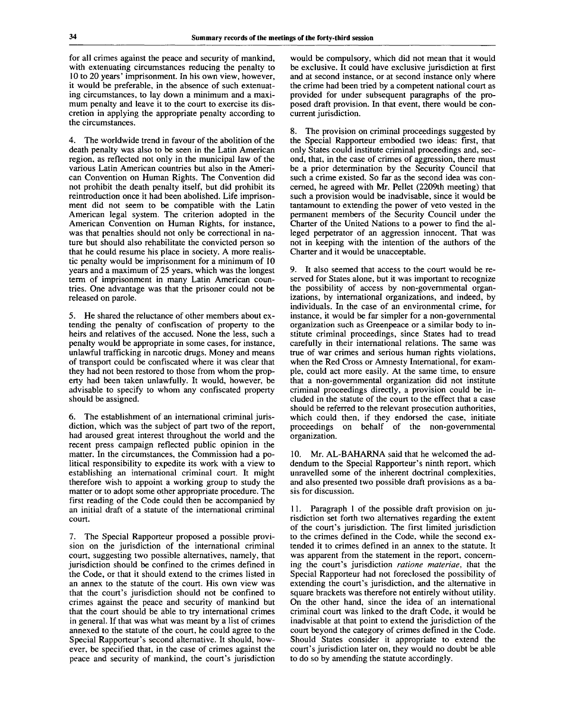for all crimes against the peace and security of mankind, with extenuating circumstances reducing the penalty to 10 to 20 years' imprisonment. In his own view, however, it would be preferable, in the absence of such extenuating circumstances, to lay down a minimum and a maximum penalty and leave it to the court to exercise its discretion in applying the appropriate penalty according to the circumstances.

4. The worldwide trend in favour of the abolition of the death penalty was also to be seen in the Latin American region, as reflected not only in the municipal law of the various Latin American countries but also in the American Convention on Human Rights. The Convention did not prohibit the death penalty itself, but did prohibit its reintroduction once it had been abolished. Life imprisonment did not seem to be compatible with the Latin American legal system. The criterion adopted in the American Convention on Human Rights, for instance, was that penalties should not only be correctional in nature but should also rehabilitate the convicted person so that he could resume his place in society. A more realistic penalty would be imprisonment for a minimum of 10 years and a maximum of 25 years, which was the longest term of imprisonment in many Latin American countries. One advantage was that the prisoner could not be released on parole.

5. He shared the reluctance of other members about extending the penalty of confiscation of property to the heirs and relatives of the accused. None the less, such a penalty would be appropriate in some cases, for instance, unlawful trafficking in narcotic drugs. Money and means of transport could be confiscated where it was clear that they had not been restored to those from whom the property had been taken unlawfully. It would, however, be advisable to specify to whom any confiscated property should be assigned.

6. The establishment of an international criminal jurisdiction, which was the subject of part two of the report, had aroused great interest throughout the world and the recent press campaign reflected public opinion in the matter. In the circumstances, the Commission had a political responsibility to expedite its work with a view to establishing an international criminal court. It might therefore wish to appoint a working group to study the matter or to adopt some other appropriate procedure. The first reading of the Code could then be accompanied by an initial draft of a statute of the international criminal court.

7. The Special Rapporteur proposed a possible provision on the jurisdiction of the international criminal court, suggesting two possible alternatives, namely, that jurisdiction should be confined to the crimes defined in the Code, or that it should extend to the crimes listed in an annex to the statute of the court. His own view was that the court's jurisdiction should not be confined to crimes against the peace and security of mankind but that the court should be able to try international crimes in general. If that was what was meant by a list of crimes annexed to the statute of the court, he could agree to the Special Rapporteur's second alternative. It should, however, be specified that, in the case of crimes against the peace and security of mankind, the court's jurisdiction

would be compulsory, which did not mean that it would be exclusive. It could have exclusive jurisdiction at first and at second instance, or at second instance only where the crime had been tried by a competent national court as provided for under subsequent paragraphs of the proposed draft provision. In that event, there would be concurrent jurisdiction.

8. The provision on criminal proceedings suggested by the Special Rapporteur embodied two ideas: first, that only States could institute criminal proceedings and, second, that, in the case of crimes of aggression, there must be a prior determination by the Security Council that such a crime existed. So far as the second idea was concerned, he agreed with Mr. Pellet (2209th meeting) that such a provision would be inadvisable, since it would be tantamount to extending the power of veto vested in the permanent members of the Security Council under the Charter of the United Nations to a power to find the alleged perpetrator of an aggression innocent. That was not in keeping with the intention of the authors of the Charter and it would be unacceptable.

9. It also seemed that access to the court would be reserved for States alone, but it was important to recognize the possibility of access by non-governmental organizations, by international organizations, and indeed, by individuals. In the case of an environmental crime, for instance, it would be far simpler for a non-governmental organization such as Greenpeace or a similar body to institute criminal proceedings, since States had to tread carefully in their international relations. The same was true of war crimes and serious human rights violations, when the Red Cross or Amnesty International, for example, could act more easily. At the same time, to ensure that a non-governmental organization did not institute criminal proceedings directly, a provision could be included in the statute of the court to the effect that a case should be referred to the relevant prosecution authorities, which could then, if they endorsed the case, initiate proceedings on behalf of the non-governmental organization.

10. Mr. AL-BAHARNA said that he welcomed the addendum to the Special Rapporteur's ninth report, which unravelled some of the inherent doctrinal complexities, and also presented two possible draft provisions as a basis for discussion.

11. Paragraph 1 of the possible draft provision on jurisdiction set forth two alternatives regarding the extent of the court's jurisdiction. The first limited jurisdiction to the crimes defined in the Code, while the second extended it to crimes defined in an annex to the statute. It was apparent from the statement in the report, concerning the court's jurisdiction *ratione materiae,* that the Special Rapporteur had not foreclosed the possibility of extending the court's jurisdiction, and the alternative in square brackets was therefore not entirely without utility. On the other hand, since the idea of an international criminal court was linked to the draft Code, it would be inadvisable at that point to extend the jurisdiction of the court beyond the category of crimes defined in the Code. Should States consider it appropriate to extend the court's jurisdiction later on, they would no doubt be able to do so by amending the statute accordingly.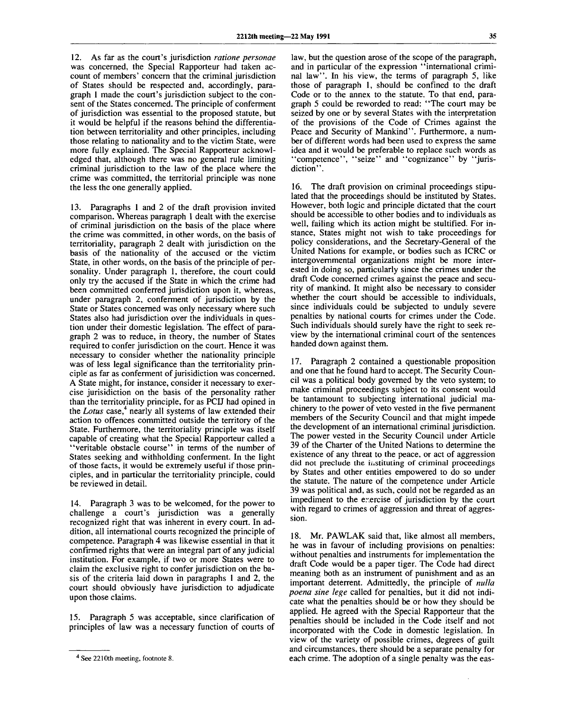12. As far as the court's jurisdiction *ratione personae* was concerned, the Special Rapporteur had taken account of members' concern that the criminal jurisdiction of States should be respected and, accordingly, paragraph 1 made the court's jurisdiction subject to the consent of the States concerned. The principle of conferment of jurisdiction was essential to the proposed statute, but it would be helpful if the reasons behind the differentiation between territoriality and other principles, including those relating to nationality and to the victim State, were more fully explained. The Special Rapporteur acknowledged that, although there was no general rule limiting criminal jurisdiction to the law of the place where the crime was committed, the territorial principle was none the less the one generally applied.

13. Paragraphs 1 and 2 of the draft provision invited comparison. Whereas paragraph 1 dealt with the exercise of criminal jurisdiction on the basis of the place where the crime was committed, in other words, on the basis of territoriality, paragraph 2 dealt with jurisdiction on the basis of the nationality of the accused or the victim State, in other words, on the basis of the principle of personality. Under paragraph 1, therefore, the court could only try the accused if the State in which the crime had been committed conferred jurisdiction upon it, whereas, under paragraph 2, conferment of jurisdiction by the State or States concerned was only necessary where such States also had jurisdiction over the individuals in question under their domestic legislation. The effect of paragraph 2 was to reduce, in theory, the number of States required to confer jurisdiction on the court. Hence it was necessary to consider whether the nationality principle was of less legal significance than the territoriality principle as far as conferment of jurisidiction was concerned. A State might, for instance, consider it necessary to exercise jurisidiction on the basis of the personality rather than the territoriality principle, for as PCIJ had opined in the *Lotus* case,  $\frac{4}{3}$  nearly all systems of law extended their action to offences committed outside the territory of the State. Furthermore, the territoriality principle was itself capable of creating what the Special Rapporteur called a "veritable obstacle course" in terms of the number of States seeking and withholding conferment. In the light of those facts, it would be extremely useful if those principles, and in particular the territoriality principle, could be reviewed in detail.

14. Paragraph 3 was to be welcomed, for the power to challenge a court's jurisdiction was a generally recognized right that was inherent in every court. In addition, all international courts recognized the principle of competence. Paragraph 4 was likewise essential in that it confirmed rights that were an integral part of any judicial institution. For example, if two or more States were to claim the exclusive right to confer jurisdiction on the basis of the criteria laid down in paragraphs 1 and 2, the court should obviously have jurisdiction to adjudicate upon those claims.

15. Paragraph 5 was acceptable, since clarification of principles of law was a necessary function of courts of

law, but the question arose of the scope of the paragraph, and in particular of the expression "international criminal law". In his view, the terms of paragraph 5, like those of paragraph 1, should be confined to the draft Code or to the annex to the statute. To that end, paragraph 5 could be reworded to read: "The court may be seized by one or by several States with the interpretation of the provisions of the Code of Crimes against the Peace and Security of Mankind". Furthermore, a number of different words had been used to express the same idea and it would be preferable to replace such words as 'competence'', "seize'' and "cognizance" by "jurisdiction".

16. The draft provision on criminal proceedings stipulated that the proceedings should be instituted by States. However, both logic and principle dictated that the court should be accessible to other bodies and to individuals as well, failing which its action might be stultified. For instance, States might not wish to take proceedings for policy considerations, and the Secretary-General of the United Nations for example, or bodies such as ICRC or intergovernmental organizations might be more interested in doing so, particularly since the crimes under the draft Code concerned crimes against the peace and security of mankind. It might also be necessary to consider whether the court should be accessible to individuals, since individuals could be subjected to unduly severe penalties by national courts for crimes under the Code. Such individuals should surely have the right to seek review by the international criminal court of the sentences handed down against them.

17. Paragraph 2 contained a questionable proposition and one that he found hard to accept. The Security Council was a political body governed by the veto system; to make criminal proceedings subject to its consent would be tantamount to subjecting international judicial machinery to the power of veto vested in the five permanent members of the Security Council and that might impede the development of an international criminal jurisdiction. The power vested in the Security Council under Article 39 of the Charter of the United Nations to determine the existence of any threat to the peace, or act of aggression did not preclude the instituting of criminal proceedings by States and other entities empowered to do so under the statute. The nature of the competence under Article 39 was political and, as such, could not be regarded as an impediment to the exercise of jurisdiction by the court with regard to crimes of aggression and threat of aggression.

18. Mr. PAWLAK said that, like almost all members, he was in favour of including provisions on penalties: without penalties and instruments for implementation the draft Code would be a paper tiger. The Code had direct meaning both as an instrument of punishment and as an important deterrent. Admittedly, the principle of *nulla poena sine lege* called for penalties, but it did not indicate what the penalties should be or how they should be applied. He agreed with the Special Rapporteur that the penalties should be included in the Code itself and not incorporated with the Code in domestic legislation. In view of the variety of possible crimes, degrees of guilt and circumstances, there should be a separate penalty for each crime. The adoption of a single penalty was the eas-

<sup>&</sup>lt;sup>4</sup> See 2210th meeting, footnote 8.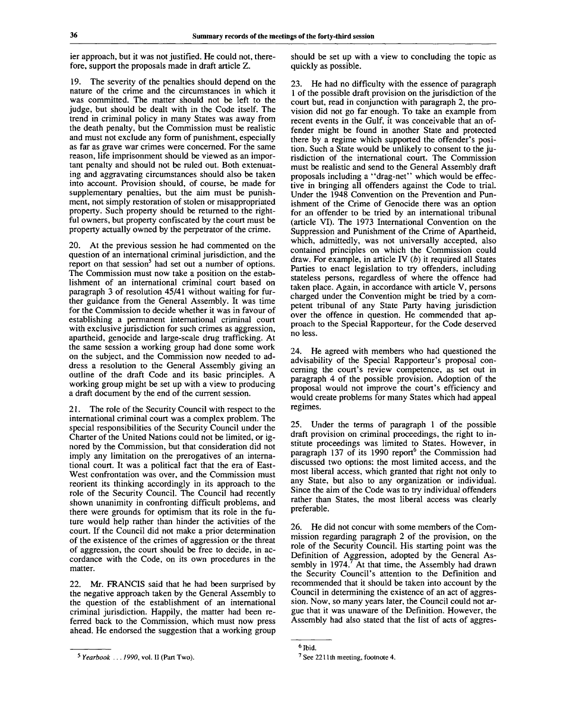ier approach, but it was not justified. He could not, therefore, support the proposals made in draft article Z.

19. The severity of the penalties should depend on the nature of the crime and the circumstances in which it was committed. The matter should not be left to the judge, but should be dealt with in the Code itself. The trend in criminal policy in many States was away from the death penalty, but the Commission must be realistic and must not exclude any form of punishment, especially as far as grave war crimes were concerned. For the same reason, life imprisonment should be viewed as an important penalty and should not be ruled out. Both extenuating and aggravating circumstances should also be taken into account. Provision should, of course, be made for supplementary penalties, but the aim must be punishment, not simply restoration of stolen or misappropriated property. Such property should be returned to the rightful owners, but property confiscated by the court must be property actually owned by the perpetrator of the crime.

20. At the previous session he had commented on the question of an international criminal jurisdiction, and the report on that session<sup>5</sup> had set out a number of options. The Commission must now take a position on the establishment of an international criminal court based on paragraph 3 of resolution 45/41 without waiting for further guidance from the General Assembly. It was time for the Commission to decide whether it was in favour of establishing a permanent international criminal court with exclusive jurisdiction for such crimes as aggression, apartheid, genocide and large-scale drug trafficking. At the same session a working group had done some work on the subject, and the Commission now needed to address a resolution to the General Assembly giving an outline of the draft Code and its basic principles. A working group might be set up with a view to producing a draft document by the end of the current session.

21. The role of the Security Council with respect to the international criminal court was a complex problem. The special responsibilities of the Security Council under the Charter of the United Nations could not be limited, or ignored by the Commission, but that consideration did not imply any limitation on the prerogatives of an international court. It was a political fact that the era of East-West confrontation was over, and the Commission must reorient its thinking accordingly in its approach to the role of the Security Council. The Council had recently shown unanimity in confronting difficult problems, and there were grounds for optimism that its role in the future would help rather than hinder the activities of the court. If the Council did not make a prior determination of the existence of the crimes of aggression or the threat of aggression, the court should be free to decide, in accordance with the Code, on its own procedures in the matter.

22. Mr. FRANCIS said that he had been surprised by the negative approach taken by the General Assembly to the question of the establishment of an international criminal jurisdiction. Happily, the matter had been referred back to the Commission, which must now press ahead. He endorsed the suggestion that a working group should be set up with a view to concluding the topic as quickly as possible.

23. He had no difficulty with the essence of paragraph 1 of the possible draft provision on the jurisdiction of the court but, read in conjunction with paragraph 2, the provision did not go far enough. To take an example from recent events in the Gulf, it was conceivable that an offender might be found in another State and protected there by a regime which supported the offender's position. Such a State would be unlikely to consent to the jurisdiction of the international court. The Commission must be realistic and send to the General Assembly draft proposals including a "drag-net" which would be effective in bringing all offenders against the Code to trial. Under the 1948 Convention on the Prevention and Punishment of the Crime of Genocide there was an option for an offender to be tried by an international tribunal (article VI). The 1973 International Convention on the Suppression and Punishment of the Crime of Apartheid, which, admittedly, was not universally accepted, also contained principles on which the Commission could draw. For example, in article IV *(b)* it required all States Parties to enact legislation to try offenders, including stateless persons, regardless of where the offence had taken place. Again, in accordance with article V, persons charged under the Convention might be tried by a competent tribunal of any State Party having jurisdiction over the offence in question. He commended that approach to the Special Rapporteur, for the Code deserved no less.

24. He agreed with members who had questioned the advisability of the Special Rapporteur's proposal concerning the court's review competence, as set out in paragraph 4 of the possible provision. Adoption of the proposal would not improve the court's efficiency and would create problems for many States which had appeal regimes.

25. Under the terms of paragraph 1 of the possible draft provision on criminal proceedings, the right to institute proceedings was limited to States. However, in paragraph 137 of its 1990 report<sup>6</sup> the Commission had discussed two options: the most limited access, and the most liberal access, which granted that right not only to any State, but also to any organization or individual. Since the aim of the Code was to try individual offenders rather than States, the most liberal access was clearly preferable.

26. He did not concur with some members of the Commission regarding paragraph 2 of the provision, on the role of the Security Council. His starting point was the Definition of Aggression, adopted by the General Assembly in  $1974$ .<sup>7</sup> At that time, the Assembly had drawn the Security Council's attention to the Definition and recommended that it should be taken into account by the Council in determining the existence of an act of aggression. Now, so many years later, the Council could not argue that it was unaware of the Definition. However, the Assembly had also stated that the list of acts of aggres-

*Yearbook ... 1990,* vol. II (Part Two).

<sup>6</sup> Ibid.

 $7$  See 2211th meeting, footnote 4.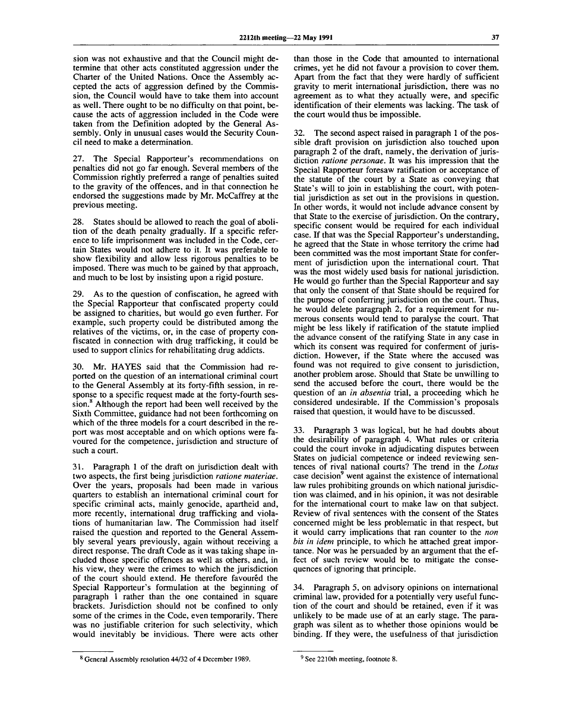sion was not exhaustive and that the Council might determine that other acts constituted aggression under the Charter of the United Nations. Once the Assembly accepted the acts of aggression defined by the Commission, the Council would have to take them into account as well. There ought to be no difficulty on that point, because the acts of aggression included in the Code were taken from the Definition adopted by the General Assembly. Only in unusual cases would the Security Council need to make a determination.

27. The Special Rapporteur's recommendations on penalties did not go far enough. Several members of the Commission rightly preferred a range of penalties suited to the gravity of the offences, and in that connection he endorsed the suggestions made by Mr. McCaffrey at the previous meeting.

28. States should be allowed to reach the goal of abolition of the death penalty gradually. If a specific reference to life imprisonment was included in the Code, certain States would not adhere to it. It was preferable to show flexibility and allow less rigorous penalties to be imposed. There was much to be gained by that approach, and much to be lost by insisting upon a rigid posture.

29. As to the question of confiscation, he agreed with the Special Rapporteur that confiscated property could be assigned to charities, but would go even further. For example, such property could be distributed among the relatives of the victims, or, in the case of property confiscated in connection with drug trafficking, it could be used to support clinics for rehabilitating drug addicts.

30. Mr. HAYES said that the Commission had reported on the question of an international criminal court to the General Assembly at its forty-fifth session, in response to a specific request made at the forty-fourth session.<sup>8</sup> Although the report had been well received by the Sixth Committee, guidance had not been forthcoming on which of the three models for a court described in the report was most acceptable and on which options were favoured for the competence, jurisdiction and structure of such a court.

31. Paragraph 1 of the draft on jurisdiction dealt with two aspects, the first being jurisdiction *ratione materiae.* Over the years, proposals had been made in various quarters to establish an international criminal court for specific criminal acts, mainly genocide, apartheid and, more recently, international drug trafficking and violations of humanitarian law. The Commission had itself raised the question and reported to the General Assembly several years previously, again without receiving a direct response. The draft Code as it was taking shape included those specific offences as well as others, and, in his view, they were the crimes to which the jurisdiction of the court should extend. He therefore favoured the Special Rapporteur's formulation at the beginning of paragraph 1 rather than the one contained in square brackets. Jurisdiction should not be confined to only some of the crimes in the Code, even temporarily. There was no justifiable criterion for such selectivity, which would inevitably be invidious. There were acts other

than those in the Code that amounted to international crimes, yet he did not favour a provision to cover them. Apart from the fact that they were hardly of sufficient gravity to merit international jurisdiction, there was no agreement as to what they actually were, and specific identification of their elements was lacking. The task of the court would thus be impossible.

32. The second aspect raised in paragraph 1 of the possible draft provision on jurisdiction also touched upon paragraph 2 of the draft, namely, the derivation of jurisdiction *ratione personae.* It was his impression that the Special Rapporteur foresaw ratification or acceptance of the statute of the court by a State as conveying that State's will to join in establishing the court, with potential jurisdiction as set out in the provisions in question. In other words, it would not include advance consent by that State to the exercise of jurisdiction. On the contrary, specific consent would be required for each individual case. If that was the Special Rapporteur's understanding, he agreed that the State in whose territory the crime had been committed was the most important State for conferment of jurisdiction upon the international court. That was the most widely used basis for national jurisdiction. He would go further than the Special Rapporteur and say that only the consent of that State should be required for the purpose of conferring jurisdiction on the court. Thus, he would delete paragraph 2, for a requirement for numerous consents would tend to paralyse the court. That might be less likely if ratification of the statute implied the advance consent of the ratifying State in any case in which its consent was required for conferment of jurisdiction. However, if the State where the accused was found was not required to give consent to jurisdiction, another problem arose. Should that State be unwilling to send the accused before the court, there would be the question of an *in absentia* trial, a proceeding which he considered undesirable. If the Commission's proposals raised that question, it would have to be discussed.

33. Paragraph 3 was logical, but he had doubts about the desirability of paragraph 4. What rules or criteria could the court invoke in adjudicating disputes between States on judicial competence or indeed reviewing sentences of rival national courts? The trend in the *Lotus* case decision<sup>9</sup> went against the existence of international law rules prohibiting grounds on which national jurisdiction was claimed, and in his opinion, it was not desirable for the international court to make law on that subject. Review of rival sentences with the consent of the States concerned might be less problematic in that respect, but it would carry implications that ran counter to the *non bis in idem* principle, to which he attached great importance. Nor was he persuaded by an argument that the effect of such review would be to mitigate the consequences of ignoring that principle.

34. Paragraph 5, on advisory opinions on international criminal law, provided for a potentially very useful function of the court and should be retained, even if it was unlikely to be made use of at an early stage. The paragraph was silent as to whether those opinions would be binding. If they were, the usefulness of that jurisdiction

<sup>&</sup>lt;sup>8</sup> General Assembly resolution 44/32 of 4 December 1989.

<sup>&</sup>lt;sup>9</sup> See 2210th meeting, footnote 8.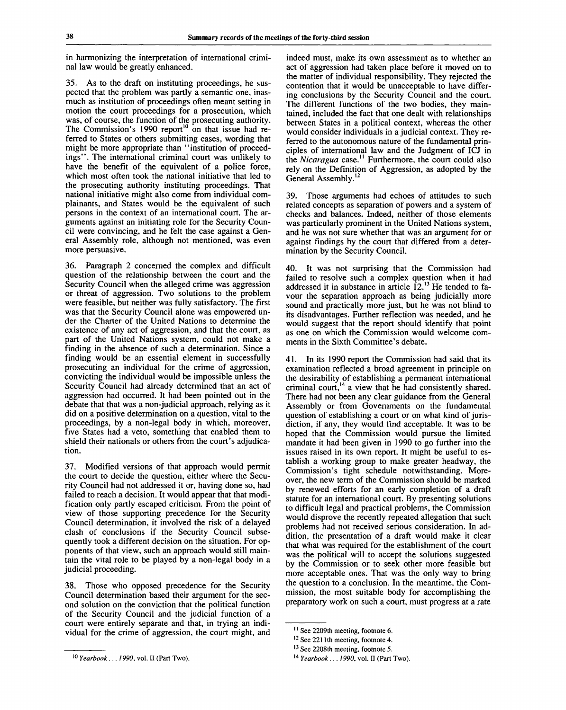in harmonizing the interpretation of international criminal law would be greatly enhanced.

35. As to the draft on instituting proceedings, he suspected that the problem was partly a semantic one, inasmuch as institution of proceedings often meant setting in motion the court proceedings for a prosecution, which was, of course, the function of the prosecuting authority. The Commission's 1990 report<sup>10</sup> on that issue had referred to States or others submitting cases, wording that might be more appropriate than "institution of proceedings". The international criminal court was unlikely to have the benefit of the equivalent of a police force, which most often took the national initiative that led to the prosecuting authority instituting proceedings. That national initiative might also come from individual complainants, and States would be the equivalent of such persons in the context of an international court. The arguments against an initiating role for the Security Council were convincing, and he felt the case against a General Assembly role, although not mentioned, was even more persuasive.

36. Paragraph 2 concerned the complex and difficult question of the relationship between the court and the Security Council when the alleged crime was aggression or threat of aggression. Two solutions to the problem were feasible, but neither was fully satisfactory. The first was that the Security Council alone was empowered under the Charter of the United Nations to determine the existence of any act of aggression, and that the court, as part of the United Nations system, could not make a finding in the absence of such a determination. Since a finding would be an essential element in successfully prosecuting an individual for the crime of aggression, convicting the individual would be impossible unless the Security Council had already determined that an act of aggression had occurred. It had been pointed out in the debate that that was a non-judicial approach, relying as it did on a positive determination on a question, vital to the proceedings, by a non-legal body in which, moreover, five States had a veto, something that enabled them to shield their nationals or others from the court's adjudication.

37. Modified versions of that approach would permit the court to decide the question, either where the Security Council had not addressed it or, having done so, had failed to reach a decision. It would appear that that modification only partly escaped criticism. From the point of view of those supporting precedence for the Security Council determination, it involved the risk of a delayed clash of conclusions if the Security Council subsequently took a different decision on the situation. For opponents of that view, such an approach would still maintain the vital role to be played by a non-legal body in a judicial proceeding.

38. Those who opposed precedence for the Security Council determination based their argument for the second solution on the conviction that the political function of the Security Council and the judicial function of a court were entirely separate and that, in trying an individual for the crime of aggression, the court might, and indeed must, make its own assessment as to whether an act of aggression had taken place before it moved on to the matter of individual responsibility. They rejected the contention that it would be unacceptable to have differing conclusions by the Security Council and the court. The different functions of the two bodies, they maintained, included the fact that one dealt with relationships between States in a political context, whereas the other would consider individuals in a judicial context. They referred to the autonomous nature of the fundamental principles of international law and the Judgment of ICJ in the *Nicaragua* case.<sup>11</sup> Furthermore, the court could also rely on the Definition of Aggression, as adopted by the General Assembly. **12**

39. Those arguments had echoes of attitudes to such related concepts as separation of powers and a system of checks and balances. Indeed, neither of those elements was particularly prominent in the United Nations system, and he was not sure whether that was an argument for or against findings by the court that differed from a determination by the Security Council.

40. It was not surprising that the Commission had failed to resolve such a complex question when it had addressed it in substance in article 12.<sup>13</sup> He tended to favour the separation approach as being judicially more sound and practically more just, but he was not blind to its disadvantages. Further reflection was needed, and he would suggest that the report should identify that point as one on which the Commission would welcome comments in the Sixth Committee's debate.

41. In its 1990 report the Commission had said that its examination reflected a broad agreement in principle on the desirability of establishing a permanent international criminal court,<sup>14</sup> a view that he had consistently shared. There had not been any clear guidance from the General Assembly or from Governments on the fundamental question of establishing a court or on what kind of jurisdiction, if any, they would find acceptable. It was to be hoped that the Commission would pursue the limited mandate it had been given in 1990 to go further into the issues raised in its own report. It might be useful to establish a working group to make greater headway, the Commission's tight schedule notwithstanding. Moreover, the new term of the Commission should be marked by renewed efforts for an early completion of a draft statute for an international court. By presenting solutions to difficult legal and practical problems, the Commission would disprove the recently repeated allegation that such problems had not received serious consideration. In addition, the presentation of a draft would make it clear that what was required for the establishment of the court was the political will to accept the solutions suggested by the Commission or to seek other more feasible but more acceptable ones. That was the only way to bring the question to a conclusion. In the meantime, the Commission, the most suitable body for accomplishing the preparatory work on such a court, must progress at a rate

<sup>10</sup>  *Yearbook... 1990,* vol. II (Part Two).

<sup>&</sup>lt;sup>11</sup> See 2209th meeting, footnote 6.

<sup>&</sup>lt;sup>12</sup> See 2211th meeting, footnote 4.

<sup>&</sup>lt;sup>13</sup> See 2208th meeting, footnote 5.

<sup>14</sup>  *Yearbook ... 1990,* vol. II (Part Two).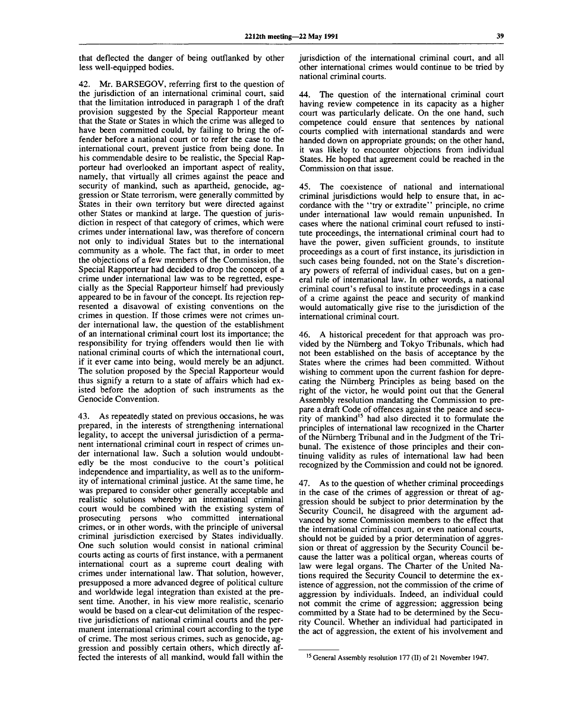that deflected the danger of being outflanked by other less well-equipped bodies.

42. Mr. BARSEGOV, referring first to the question of the jurisdiction of an international criminal court, said that the limitation introduced in paragraph 1 of the draft provision suggested by the Special Rapporteur meant that the State or States in which the crime was alleged to have been committed could, by failing to bring the offender before a national court or to refer the case to the international court, prevent justice from being done. In his commendable desire to be realistic, the Special Rapporteur had overlooked an important aspect of reality, namely, that virtually all crimes against the peace and security of mankind, such as apartheid, genocide, aggression or State terrorism, were generally committed by States in their own territory but were directed against other States or mankind at large. The question of jurisdiction in respect of that category of crimes, which were crimes under international law, was therefore of concern not only to individual States but to the international community as a whole. The fact that, in order to meet the objections of a few members of the Commission, the Special Rapporteur had decided to drop the concept of a crime under international law was to be regretted, especially as the Special Rapporteur himself had previously appeared to be in favour of the concept. Its rejection represented a disavowal of existing conventions on the crimes in question. If those crimes were not crimes under international law, the question of the establishment of an international criminal court lost its importance; the responsibility for trying offenders would then lie with national criminal courts of which the international court, if it ever came into being, would merely be an adjunct. The solution proposed by the Special Rapporteur would thus signify a return to a state of affairs which had existed before the adoption of such instruments as the Genocide Convention.

43. As repeatedly stated on previous occasions, he was prepared, in the interests of strengthening international legality, to accept the universal jurisdiction of a permanent international criminal court in respect of crimes under international law. Such a solution would undoubtedly be the most conducive to the court's political independence and impartiality, as well as to the uniformity of international criminal justice. At the same time, he was prepared to consider other generally acceptable and realistic solutions whereby an international criminal court would be combined with the existing system of prosecuting persons who committed international crimes, or in other words, with the principle of universal criminal jurisdiction exercised by States individually. One such solution would consist in national criminal courts acting as courts of first instance, with a permanent international court as a supreme court dealing with crimes under international law. That solution, however, presupposed a more advanced degree of political culture and worldwide legal integration than existed at the present time. Another, in his view more realistic, scenario would be based on a clear-cut delimitation of the respective jurisdictions of national criminal courts and the permanent international criminal court according to the type of crime. The most serious crimes, such as genocide, aggression and possibly certain others, which directly affected the interests of all mankind, would fall within the

jurisdiction of the international criminal court, and all other international crimes would continue to be tried by national criminal courts.

The question of the international criminal court having review competence in its capacity as a higher court was particularly delicate. On the one hand, such competence could ensure that sentences by national courts complied with international standards and were handed down on appropriate grounds; on the other hand, it was likely to encounter objections from individual States. He hoped that agreement could be reached in the Commission on that issue.

45. The coexistence of national and international criminal jurisdictions would help to ensure that, in accordance with the "try or extradite" principle, no crime under international law would remain unpunished. In cases where the national criminal court refused to institute proceedings, the international criminal court had to have the power, given sufficient grounds, to institute proceedings as a court of first instance, its jurisdiction in such cases being founded, not on the State's discretionary powers of referral of individual cases, but on a general rule of international law. In other words, a national criminal court's refusal to institute proceedings in a case of a crime against the peace and security of mankind would automatically give rise to the jurisdiction of the international criminal court.

46. A historical precedent for that approach was provided by the Niirnberg and Tokyo Tribunals, which had not been established on the basis of acceptance by the States where the crimes had been committed. Without wishing to comment upon the current fashion for deprecating the Niirnberg Principles as being based on the right of the victor, he would point out that the General Assembly resolution mandating the Commission to prepare a draft Code of offences against the peace and security of mankind<sup>15</sup> had also directed it to formulate the principles of international law recognized in the Charter of the Niirnberg Tribunal and in the Judgment of the Tribunal. The existence of those principles and their continuing validity as rules of international law had been recognized by the Commission and could not be ignored.

47. As to the question of whether criminal proceedings in the case of the crimes of aggression or threat of aggression should be subject to prior determination by the Security Council, he disagreed with the argument advanced by some Commission members to the effect that the international criminal court, or even national courts, should not be guided by a prior determination of aggression or threat of aggression by the Security Council because the latter was a political organ, whereas courts of law were legal organs. The Charter of the United Nations required the Security Council to determine the existence of aggression, not the commission of the crime of aggression by individuals. Indeed, an individual could not commit the crime of aggression; aggression being committed by a State had to be determined by the Security Council. Whether an individual had participated in the act of aggression, the extent of his involvement and

<sup>&</sup>lt;sup>15</sup> General Assembly resolution 177 (II) of 21 November 1947.